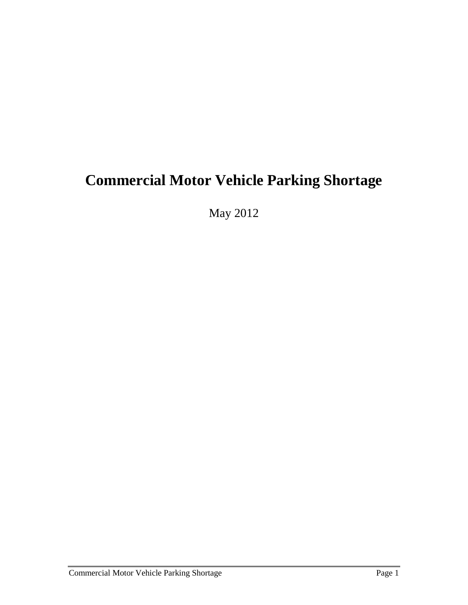# **Commercial Motor Vehicle Parking Shortage**

May 2012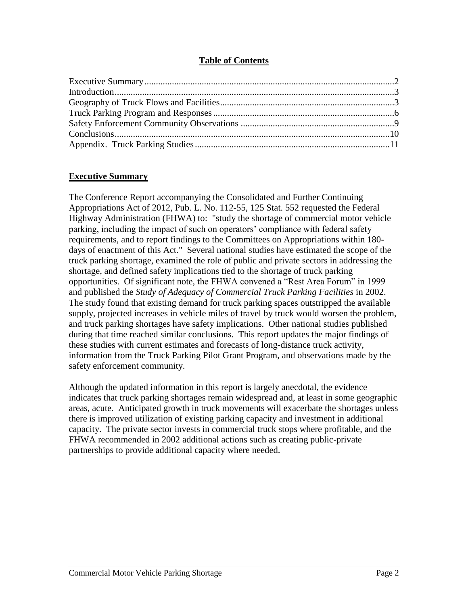## **Table of Contents**

## **Executive Summary**

The Conference Report accompanying the Consolidated and Further Continuing Appropriations Act of 2012, Pub. L. No. 112-55, 125 Stat. 552 requested the Federal Highway Administration (FHWA) to: "study the shortage of commercial motor vehicle parking, including the impact of such on operators' compliance with federal safety requirements, and to report findings to the Committees on Appropriations within 180 days of enactment of this Act." Several national studies have estimated the scope of the truck parking shortage, examined the role of public and private sectors in addressing the shortage, and defined safety implications tied to the shortage of truck parking opportunities. Of significant note, the FHWA convened a "Rest Area Forum" in 1999 and published the *Study of Adequacy of Commercial Truck Parking Facilities* in 2002. The study found that existing demand for truck parking spaces outstripped the available supply, projected increases in vehicle miles of travel by truck would worsen the problem, and truck parking shortages have safety implications. Other national studies published during that time reached similar conclusions. This report updates the major findings of these studies with current estimates and forecasts of long-distance truck activity, information from the Truck Parking Pilot Grant Program, and observations made by the safety enforcement community.

Although the updated information in this report is largely anecdotal, the evidence indicates that truck parking shortages remain widespread and, at least in some geographic areas, acute. Anticipated growth in truck movements will exacerbate the shortages unless there is improved utilization of existing parking capacity and investment in additional capacity. The private sector invests in commercial truck stops where profitable, and the FHWA recommended in 2002 additional actions such as creating public-private partnerships to provide additional capacity where needed.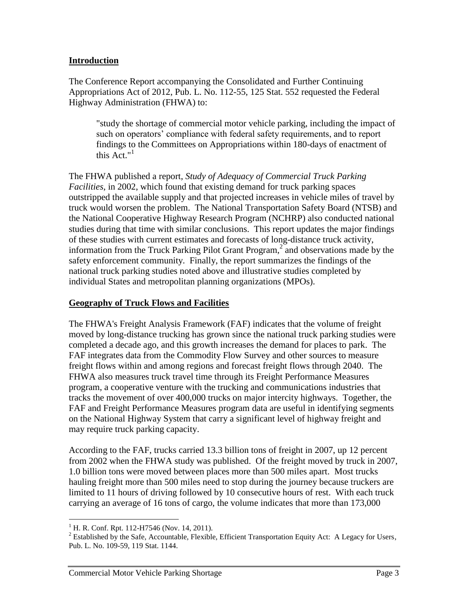## **Introduction**

The Conference Report accompanying the Consolidated and Further Continuing Appropriations Act of 2012, Pub. L. No. 112-55, 125 Stat. 552 requested the Federal Highway Administration (FHWA) to:

"study the shortage of commercial motor vehicle parking, including the impact of such on operators' compliance with federal safety requirements, and to report findings to the Committees on Appropriations within 180-days of enactment of this  $Act."$ <sup>1</sup>

The FHWA published a report, *Study of Adequacy of Commercial Truck Parking Facilities*, in 2002, which found that existing demand for truck parking spaces outstripped the available supply and that projected increases in vehicle miles of travel by truck would worsen the problem. The National Transportation Safety Board (NTSB) and the National Cooperative Highway Research Program (NCHRP) also conducted national studies during that time with similar conclusions. This report updates the major findings of these studies with current estimates and forecasts of long-distance truck activity, information from the Truck Parking Pilot Grant Program,<sup>2</sup> and observations made by the safety enforcement community. Finally, the report summarizes the findings of the national truck parking studies noted above and illustrative studies completed by individual States and metropolitan planning organizations (MPOs).

## **Geography of Truck Flows and Facilities**

The FHWA's Freight Analysis Framework (FAF) indicates that the volume of freight moved by long-distance trucking has grown since the national truck parking studies were completed a decade ago, and this growth increases the demand for places to park. The FAF integrates data from the Commodity Flow Survey and other sources to measure freight flows within and among regions and forecast freight flows through 2040. The FHWA also measures truck travel time through its Freight Performance Measures program, a cooperative venture with the trucking and communications industries that tracks the movement of over 400,000 trucks on major intercity highways. Together, the FAF and Freight Performance Measures program data are useful in identifying segments on the National Highway System that carry a significant level of highway freight and may require truck parking capacity.

According to the FAF, trucks carried 13.3 billion tons of freight in 2007, up 12 percent from 2002 when the FHWA study was published. Of the freight moved by truck in 2007, 1.0 billion tons were moved between places more than 500 miles apart. Most trucks hauling freight more than 500 miles need to stop during the journey because truckers are limited to 11 hours of driving followed by 10 consecutive hours of rest. With each truck carrying an average of 16 tons of cargo, the volume indicates that more than 173,000

 $\overline{a}$ 

 $1$  H. R. Conf. Rpt. 112-H7546 (Nov. 14, 2011).

<sup>&</sup>lt;sup>2</sup> Established by the Safe, Accountable, Flexible, Efficient Transportation Equity Act: A Legacy for Users, Pub. L. No. 109-59, 119 Stat. 1144.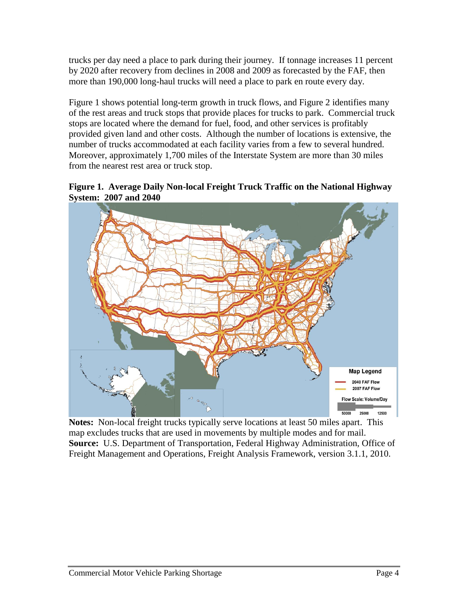trucks per day need a place to park during their journey. If tonnage increases 11 percent by 2020 after recovery from declines in 2008 and 2009 as forecasted by the FAF, then more than 190,000 long-haul trucks will need a place to park en route every day.

Figure 1 shows potential long-term growth in truck flows, and Figure 2 identifies many of the rest areas and truck stops that provide places for trucks to park. Commercial truck stops are located where the demand for fuel, food, and other services is profitably provided given land and other costs. Although the number of locations is extensive, the number of trucks accommodated at each facility varies from a few to several hundred. Moreover, approximately 1,700 miles of the Interstate System are more than 30 miles from the nearest rest area or truck stop.





**Notes:** Non-local freight trucks typically serve locations at least 50 miles apart. This map excludes trucks that are used in movements by multiple modes and for mail. **Source:** U.S. Department of Transportation, Federal Highway Administration, Office of Freight Management and Operations, Freight Analysis Framework, version 3.1.1, 2010.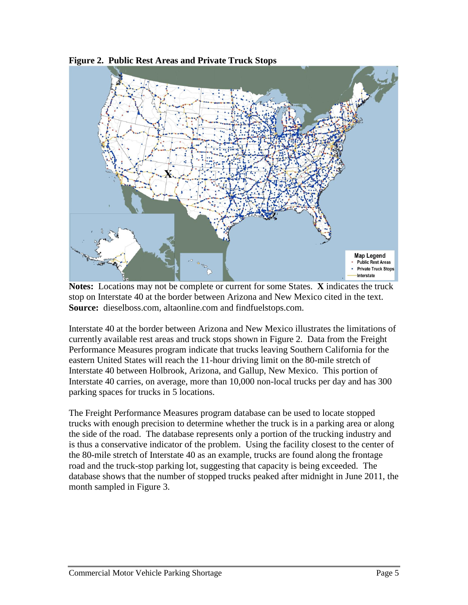

**Figure 2. Public Rest Areas and Private Truck Stops**

**Notes:** Locations may not be complete or current for some States. **X** indicates the truck stop on Interstate 40 at the border between Arizona and New Mexico cited in the text. **Source:** dieselboss.com, altaonline.com and findfuelstops.com.

Interstate 40 at the border between Arizona and New Mexico illustrates the limitations of currently available rest areas and truck stops shown in Figure 2. Data from the Freight Performance Measures program indicate that trucks leaving Southern California for the eastern United States will reach the 11-hour driving limit on the 80-mile stretch of Interstate 40 between Holbrook, Arizona, and Gallup, New Mexico. This portion of Interstate 40 carries, on average, more than 10,000 non-local trucks per day and has 300 parking spaces for trucks in 5 locations.

The Freight Performance Measures program database can be used to locate stopped trucks with enough precision to determine whether the truck is in a parking area or along the side of the road. The database represents only a portion of the trucking industry and is thus a conservative indicator of the problem. Using the facility closest to the center of the 80-mile stretch of Interstate 40 as an example, trucks are found along the frontage road and the truck-stop parking lot, suggesting that capacity is being exceeded. The database shows that the number of stopped trucks peaked after midnight in June 2011, the month sampled in Figure 3.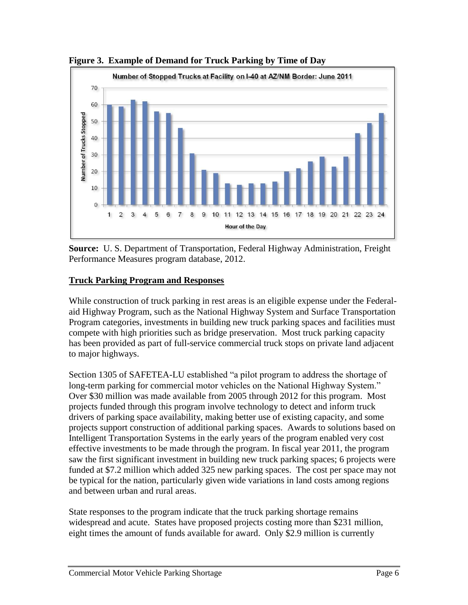

**Figure 3. Example of Demand for Truck Parking by Time of Day**

**Source:** U. S. Department of Transportation, Federal Highway Administration, Freight Performance Measures program database, 2012.

# **Truck Parking Program and Responses**

While construction of truck parking in rest areas is an eligible expense under the Federalaid Highway Program, such as the National Highway System and Surface Transportation Program categories, investments in building new truck parking spaces and facilities must compete with high priorities such as bridge preservation. Most truck parking capacity has been provided as part of full-service commercial truck stops on private land adjacent to major highways.

Section 1305 of SAFETEA-LU established "a pilot program to address the shortage of long-term parking for commercial motor vehicles on the National Highway System." Over \$30 million was made available from 2005 through 2012 for this program. Most projects funded through this program involve technology to detect and inform truck drivers of parking space availability, making better use of existing capacity, and some projects support construction of additional parking spaces. Awards to solutions based on Intelligent Transportation Systems in the early years of the program enabled very cost effective investments to be made through the program. In fiscal year 2011, the program saw the first significant investment in building new truck parking spaces; 6 projects were funded at \$7.2 million which added 325 new parking spaces. The cost per space may not be typical for the nation, particularly given wide variations in land costs among regions and between urban and rural areas.

State responses to the program indicate that the truck parking shortage remains widespread and acute. States have proposed projects costing more than \$231 million, eight times the amount of funds available for award. Only \$2.9 million is currently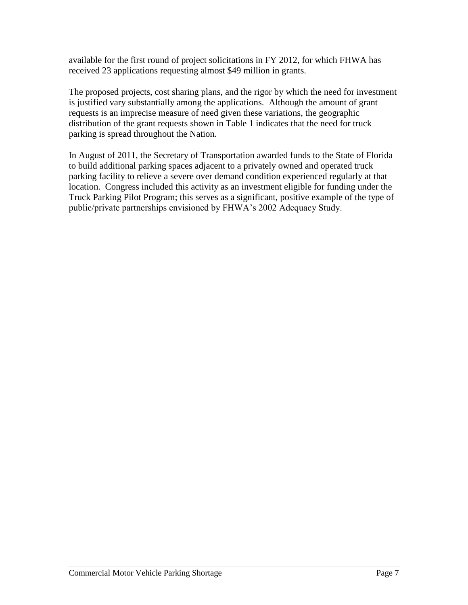available for the first round of project solicitations in FY 2012, for which FHWA has received 23 applications requesting almost \$49 million in grants.

The proposed projects, cost sharing plans, and the rigor by which the need for investment is justified vary substantially among the applications. Although the amount of grant requests is an imprecise measure of need given these variations, the geographic distribution of the grant requests shown in Table 1 indicates that the need for truck parking is spread throughout the Nation.

In August of 2011, the Secretary of Transportation awarded funds to the State of Florida to build additional parking spaces adjacent to a privately owned and operated truck parking facility to relieve a severe over demand condition experienced regularly at that location. Congress included this activity as an investment eligible for funding under the Truck Parking Pilot Program; this serves as a significant, positive example of the type of public/private partnerships envisioned by FHWA's 2002 Adequacy Study.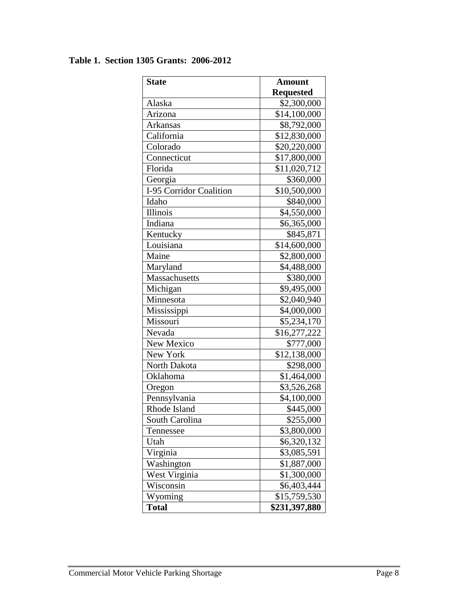# **Table 1. Section 1305 Grants: 2006-2012**

| <b>State</b>            | <b>Amount</b>    |
|-------------------------|------------------|
|                         | <b>Requested</b> |
| Alaska                  | \$2,300,000      |
| Arizona                 | \$14,100,000     |
| Arkansas                | \$8,792,000      |
| California              | \$12,830,000     |
| Colorado                | \$20,220,000     |
| Connecticut             | \$17,800,000     |
| Florida                 | \$11,020,712     |
| Georgia                 | \$360,000        |
| I-95 Corridor Coalition | \$10,500,000     |
| Idaho                   | \$840,000        |
| <b>Illinois</b>         | \$4,550,000      |
| Indiana                 | \$6,365,000      |
| Kentucky                | \$845,871        |
| Louisiana               | \$14,600,000     |
| Maine                   | \$2,800,000      |
| Maryland                | \$4,488,000      |
| Massachusetts           | \$380,000        |
| Michigan                | \$9,495,000      |
| Minnesota               | \$2,040,940      |
| Mississippi             | \$4,000,000      |
| Missouri                | \$5,234,170      |
| Nevada                  | \$16,277,222     |
| New Mexico              | \$777,000        |
| New York                | \$12,138,000     |
| North Dakota            | \$298,000        |
| Oklahoma                | \$1,464,000      |
| Oregon                  | \$3,526,268      |
| Pennsylvania            | \$4,100,000      |
| Rhode Island            | \$445,000        |
| South Carolina          | \$255,000        |
| Tennessee               | \$3,800,000      |
| Utah                    | \$6,320,132      |
| Virginia                | \$3,085,591      |
| Washington              | \$1,887,000      |
| West Virginia           | \$1,300,000      |
| Wisconsin               | \$6,403,444      |
| Wyoming                 | \$15,759,530     |
| <b>Total</b>            | \$231,397,880    |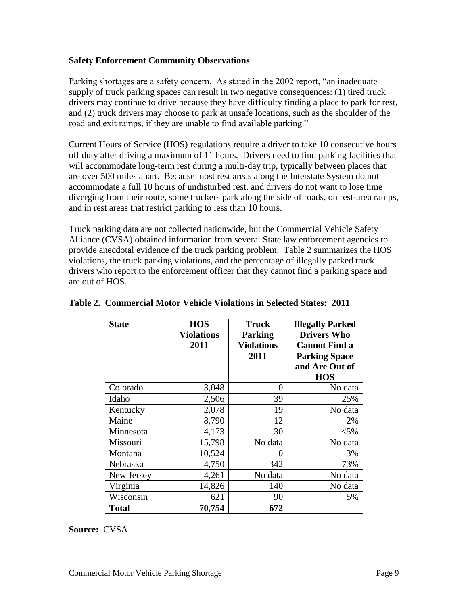## **Safety Enforcement Community Observations**

Parking shortages are a safety concern. As stated in the 2002 report, "an inadequate supply of truck parking spaces can result in two negative consequences: (1) tired truck drivers may continue to drive because they have difficulty finding a place to park for rest, and (2) truck drivers may choose to park at unsafe locations, such as the shoulder of the road and exit ramps, if they are unable to find available parking."

Current Hours of Service (HOS) regulations require a driver to take 10 consecutive hours off duty after driving a maximum of 11 hours. Drivers need to find parking facilities that will accommodate long-term rest during a multi-day trip, typically between places that are over 500 miles apart. Because most rest areas along the Interstate System do not accommodate a full 10 hours of undisturbed rest, and drivers do not want to lose time diverging from their route, some truckers park along the side of roads, on rest-area ramps, and in rest areas that restrict parking to less than 10 hours.

Truck parking data are not collected nationwide, but the Commercial Vehicle Safety Alliance (CVSA) obtained information from several State law enforcement agencies to provide anecdotal evidence of the truck parking problem. Table 2 summarizes the HOS violations, the truck parking violations, and the percentage of illegally parked truck drivers who report to the enforcement officer that they cannot find a parking space and are out of HOS.

| <b>State</b> | <b>HOS</b><br><b>Violations</b> | <b>Truck</b><br><b>Parking</b> | <b>Illegally Parked</b><br><b>Drivers Who</b> |
|--------------|---------------------------------|--------------------------------|-----------------------------------------------|
|              | 2011                            | <b>Violations</b>              | <b>Cannot Find a</b>                          |
|              |                                 | 2011                           | <b>Parking Space</b>                          |
|              |                                 |                                | and Are Out of                                |
|              |                                 |                                | <b>HOS</b>                                    |
| Colorado     | 3,048                           | 0                              | No data                                       |
| Idaho        | 2,506                           | 39                             | 25%                                           |
| Kentucky     | 2,078                           | 19                             | No data                                       |
| Maine        | 8,790                           | 12                             | 2%                                            |
| Minnesota    | 4,173                           | 30                             | $< 5\%$                                       |
| Missouri     | 15,798                          | No data                        | No data                                       |
| Montana      | 10,524                          | 0                              | 3%                                            |
| Nebraska     | 4,750                           | 342                            | 73%                                           |
| New Jersey   | 4,261                           | No data                        | No data                                       |
| Virginia     | 14,826                          | 140                            | No data                                       |
| Wisconsin    | 621                             | 90                             | 5%                                            |
| Total        | 70,754                          | 672                            |                                               |

# **Table 2. Commercial Motor Vehicle Violations in Selected States: 2011**

**Source:** CVSA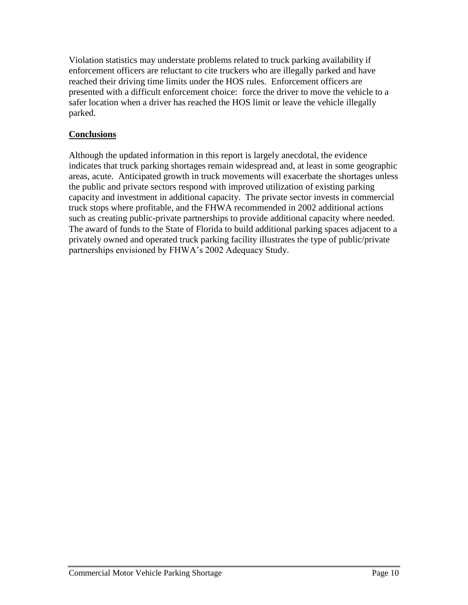Violation statistics may understate problems related to truck parking availability if enforcement officers are reluctant to cite truckers who are illegally parked and have reached their driving time limits under the HOS rules. Enforcement officers are presented with a difficult enforcement choice: force the driver to move the vehicle to a safer location when a driver has reached the HOS limit or leave the vehicle illegally parked.

# **Conclusions**

Although the updated information in this report is largely anecdotal, the evidence indicates that truck parking shortages remain widespread and, at least in some geographic areas, acute. Anticipated growth in truck movements will exacerbate the shortages unless the public and private sectors respond with improved utilization of existing parking capacity and investment in additional capacity. The private sector invests in commercial truck stops where profitable, and the FHWA recommended in 2002 additional actions such as creating public-private partnerships to provide additional capacity where needed. The award of funds to the State of Florida to build additional parking spaces adjacent to a privately owned and operated truck parking facility illustrates the type of public/private partnerships envisioned by FHWA's 2002 Adequacy Study.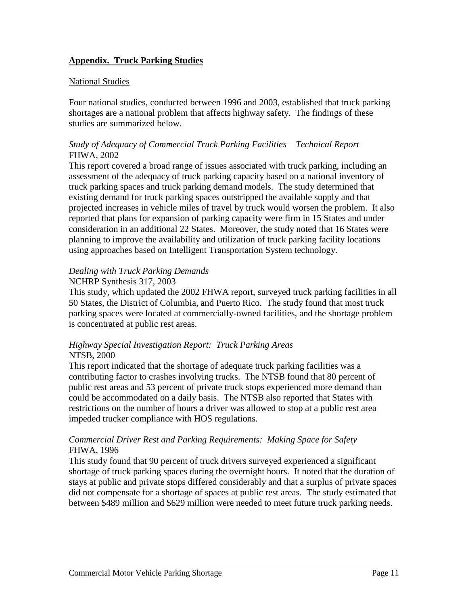# **Appendix. Truck Parking Studies**

#### National Studies

Four national studies, conducted between 1996 and 2003, established that truck parking shortages are a national problem that affects highway safety. The findings of these studies are summarized below.

#### *Study of Adequacy of Commercial Truck Parking Facilities – Technical Report* FHWA, 2002

This report covered a broad range of issues associated with truck parking, including an assessment of the adequacy of truck parking capacity based on a national inventory of truck parking spaces and truck parking demand models. The study determined that existing demand for truck parking spaces outstripped the available supply and that projected increases in vehicle miles of travel by truck would worsen the problem. It also reported that plans for expansion of parking capacity were firm in 15 States and under consideration in an additional 22 States. Moreover, the study noted that 16 States were planning to improve the availability and utilization of truck parking facility locations using approaches based on Intelligent Transportation System technology.

#### *Dealing with Truck Parking Demands*

## NCHRP Synthesis 317, 2003

This study, which updated the 2002 FHWA report, surveyed truck parking facilities in all 50 States, the District of Columbia, and Puerto Rico. The study found that most truck parking spaces were located at commercially-owned facilities, and the shortage problem is concentrated at public rest areas.

#### *Highway Special Investigation Report: Truck Parking Areas* NTSB, 2000

This report indicated that the shortage of adequate truck parking facilities was a contributing factor to crashes involving trucks. The NTSB found that 80 percent of public rest areas and 53 percent of private truck stops experienced more demand than could be accommodated on a daily basis. The NTSB also reported that States with restrictions on the number of hours a driver was allowed to stop at a public rest area impeded trucker compliance with HOS regulations.

#### *Commercial Driver Rest and Parking Requirements: Making Space for Safety* FHWA, 1996

This study found that 90 percent of truck drivers surveyed experienced a significant shortage of truck parking spaces during the overnight hours. It noted that the duration of stays at public and private stops differed considerably and that a surplus of private spaces did not compensate for a shortage of spaces at public rest areas. The study estimated that between \$489 million and \$629 million were needed to meet future truck parking needs.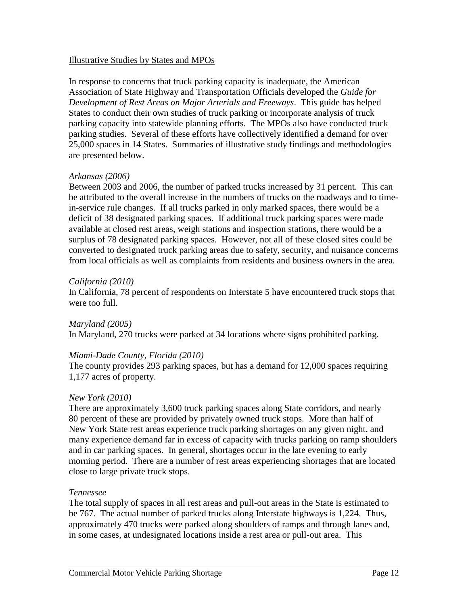#### Illustrative Studies by States and MPOs

In response to concerns that truck parking capacity is inadequate, the American Association of State Highway and Transportation Officials developed the *Guide for Development of Rest Areas on Major Arterials and Freeways*. This guide has helped States to conduct their own studies of truck parking or incorporate analysis of truck parking capacity into statewide planning efforts. The MPOs also have conducted truck parking studies. Several of these efforts have collectively identified a demand for over 25,000 spaces in 14 States. Summaries of illustrative study findings and methodologies are presented below.

#### *Arkansas (2006)*

Between 2003 and 2006, the number of parked trucks increased by 31 percent. This can be attributed to the overall increase in the numbers of trucks on the roadways and to timein-service rule changes. If all trucks parked in only marked spaces, there would be a deficit of 38 designated parking spaces. If additional truck parking spaces were made available at closed rest areas, weigh stations and inspection stations, there would be a surplus of 78 designated parking spaces. However, not all of these closed sites could be converted to designated truck parking areas due to safety, security, and nuisance concerns from local officials as well as complaints from residents and business owners in the area.

#### *California (2010)*

In California, 78 percent of respondents on Interstate 5 have encountered truck stops that were too full.

*Maryland (2005)*

In Maryland, 270 trucks were parked at 34 locations where signs prohibited parking.

#### *Miami-Dade County, Florida (2010)*

The county provides 293 parking spaces, but has a demand for 12,000 spaces requiring 1,177 acres of property.

#### *New York (2010)*

There are approximately 3,600 truck parking spaces along State corridors, and nearly 80 percent of these are provided by privately owned truck stops. More than half of New York State rest areas experience truck parking shortages on any given night, and many experience demand far in excess of capacity with trucks parking on ramp shoulders and in car parking spaces. In general, shortages occur in the late evening to early morning period. There are a number of rest areas experiencing shortages that are located close to large private truck stops.

#### *Tennessee*

The total supply of spaces in all rest areas and pull-out areas in the State is estimated to be 767. The actual number of parked trucks along Interstate highways is 1,224. Thus, approximately 470 trucks were parked along shoulders of ramps and through lanes and, in some cases, at undesignated locations inside a rest area or pull-out area. This